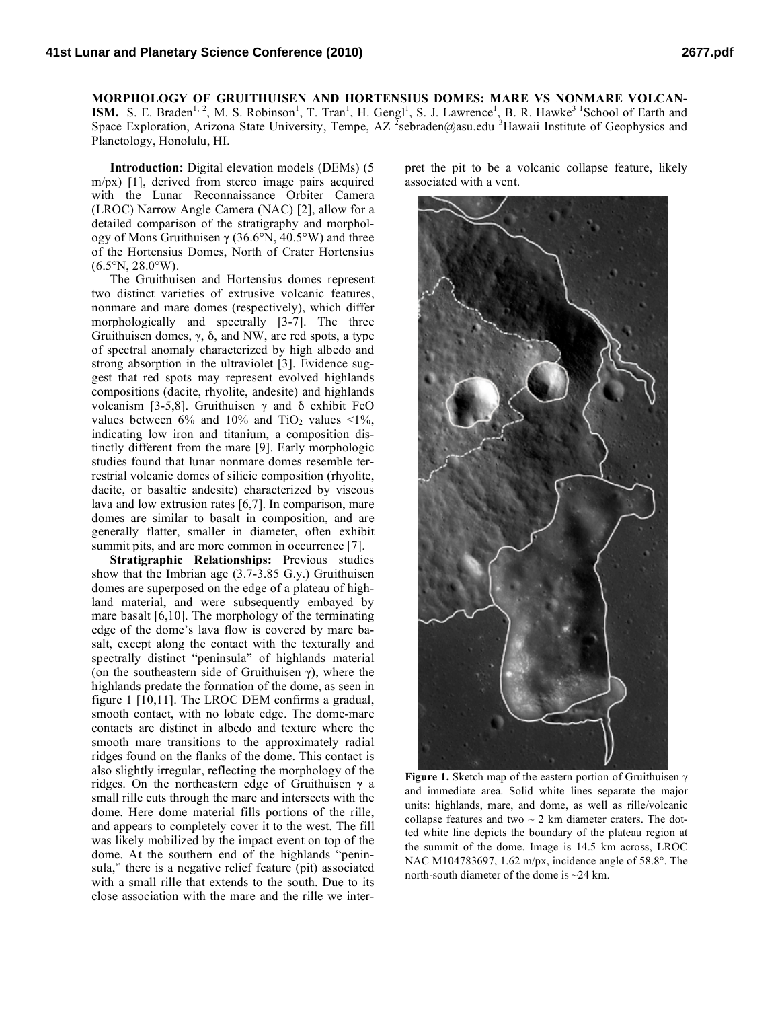**MORPHOLOGY OF GRUITHUISEN AND HORTENSIUS DOMES: MARE VS NONMARE VOLCAN-ISM.** S. E. Braden<sup>1, 2</sup>, M. S. Robinson<sup>1</sup>, T. Tran<sup>1</sup>, H. Gengl<sup>1</sup>, S. J. Lawrence<sup>1</sup>, B. R. Hawke<sup>31</sup> School of Earth and Space Exploration, Arizona State University, Tempe, AZ <sup>2</sup>sebraden@asu.edu <sup>3</sup>Hawaii Institute of Geophysics and Planetology, Honolulu, HI.

**Introduction:** Digital elevation models (DEMs) (5 m/px) [1], derived from stereo image pairs acquired with the Lunar Reconnaissance Orbiter Camera (LROC) Narrow Angle Camera (NAC) [2], allow for a detailed comparison of the stratigraphy and morphology of Mons Gruithuisen γ (36.6°N, 40.5°W) and three of the Hortensius Domes, North of Crater Hortensius  $(6.5^{\circ}N, 28.0^{\circ}W)$ .

The Gruithuisen and Hortensius domes represent two distinct varieties of extrusive volcanic features, nonmare and mare domes (respectively), which differ morphologically and spectrally [3-7]. The three Gruithuisen domes, γ, δ, and NW, are red spots, a type of spectral anomaly characterized by high albedo and strong absorption in the ultraviolet [3]. Evidence suggest that red spots may represent evolved highlands compositions (dacite, rhyolite, andesite) and highlands volcanism [3-5,8]. Gruithuisen γ and δ exhibit FeO values between  $6\%$  and  $10\%$  and  $TiO<sub>2</sub>$  values <1%, indicating low iron and titanium, a composition distinctly different from the mare [9]. Early morphologic studies found that lunar nonmare domes resemble terrestrial volcanic domes of silicic composition (rhyolite, dacite, or basaltic andesite) characterized by viscous lava and low extrusion rates [6,7]. In comparison, mare domes are similar to basalt in composition, and are generally flatter, smaller in diameter, often exhibit summit pits, and are more common in occurrence [7].

**Stratigraphic Relationships:** Previous studies show that the Imbrian age (3.7-3.85 G.y.) Gruithuisen domes are superposed on the edge of a plateau of highland material, and were subsequently embayed by mare basalt [6,10]. The morphology of the terminating edge of the dome's lava flow is covered by mare basalt, except along the contact with the texturally and spectrally distinct "peninsula" of highlands material (on the southeastern side of Gruithuisen  $\gamma$ ), where the highlands predate the formation of the dome, as seen in figure 1 [10,11]. The LROC DEM confirms a gradual, smooth contact, with no lobate edge. The dome-mare contacts are distinct in albedo and texture where the smooth mare transitions to the approximately radial ridges found on the flanks of the dome. This contact is also slightly irregular, reflecting the morphology of the ridges. On the northeastern edge of Gruithuisen  $\gamma$  a small rille cuts through the mare and intersects with the dome. Here dome material fills portions of the rille, and appears to completely cover it to the west. The fill was likely mobilized by the impact event on top of the dome. At the southern end of the highlands "peninsula," there is a negative relief feature (pit) associated with a small rille that extends to the south. Due to its close association with the mare and the rille we interpret the pit to be a volcanic collapse feature, likely associated with a vent.



**Figure 1.** Sketch map of the eastern portion of Gruithuisen γ and immediate area. Solid white lines separate the major units: highlands, mare, and dome, as well as rille/volcanic collapse features and two  $\sim$  2 km diameter craters. The dotted white line depicts the boundary of the plateau region at the summit of the dome. Image is 14.5 km across, LROC NAC M104783697, 1.62 m/px, incidence angle of 58.8°. The north-south diameter of the dome is ~24 km.